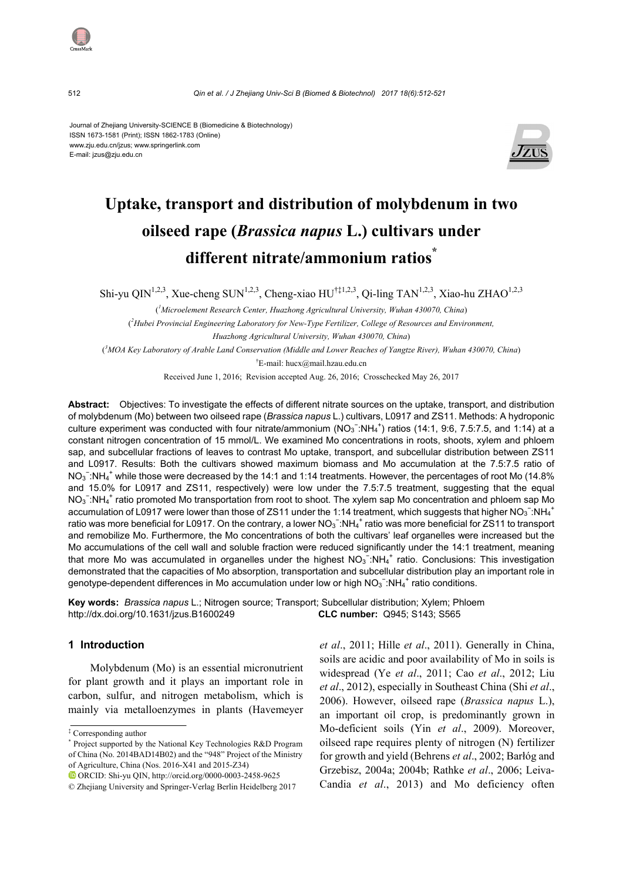#### Journal of Zhejiang University-SCIENCE B (Biomedicine & Biotechnology) ISSN 1673-1581 (Print); ISSN 1862-1783 (Online) www.zju.edu.cn/jzus; www.springerlink.com E-mail: jzus@zju.edu.cn



# **Uptake, transport and distribution of molybdenum in two oilseed rape (***Brassica napus* **L.) cultivars under different nitrate/ammonium ratios\***

Shi-yu QIN<sup>1,2,3</sup>, Xue-cheng SUN<sup>1,2,3</sup>, Cheng-xiao HU<sup>†‡1,2,3</sup>, Qi-ling TAN<sup>1,2,3</sup>, Xiao-hu ZHAO<sup>1,2,3</sup>

( *1 Microelement Research Center, Huazhong Agricultural University, Wuhan 430070, China*) ( *2 Hubei Provincial Engineering Laboratory for New-Type Fertilizer, College of Resources and Environment, Huazhong Agricultural University, Wuhan 430070, China*)

( *3 MOA Key Laboratory of Arable Land Conservation (Middle and Lower Reaches of Yangtze River), Wuhan 430070, China*) † E-mail: hucx@mail.hzau.edu.cn

Received June 1, 2016; Revision accepted Aug. 26, 2016; Crosschecked May 26, 2017

**Abstract:** Objectives: To investigate the effects of different nitrate sources on the uptake, transport, and distribution of molybdenum (Mo) between two oilseed rape (*Brassica napus* L.) cultivars, L0917 and ZS11. Methods: A hydroponic culture experiment was conducted with four nitrate/ammonium  $(NO_3^- : NH_4^+)$  ratios (14:1, 9:6, 7.5:7.5, and 1:14) at a constant nitrogen concentration of 15 mmol/L. We examined Mo concentrations in roots, shoots, xylem and phloem sap, and subcellular fractions of leaves to contrast Mo uptake, transport, and subcellular distribution between ZS11 and L0917. Results: Both the cultivars showed maximum biomass and Mo accumulation at the 7.5:7.5 ratio of NO<sub>3</sub><sup>-</sup>:NH<sub>4</sub><sup>+</sup> while those were decreased by the 14:1 and 1:14 treatments. However, the percentages of root Mo (14.8% and 15.0% for L0917 and ZS11, respectively) were low under the 7.5:7.5 treatment, suggesting that the equal NO<sub>3</sub><sup>-</sup>:NH<sub>4</sub><sup>+</sup> ratio promoted Mo transportation from root to shoot. The xylem sap Mo concentration and phloem sap Mo accumulation of L0917 were lower than those of ZS11 under the 1:14 treatment, which suggests that higher NO<sub>3</sub><sup>-</sup>:NH<sub>4</sub><sup>+</sup> ratio was more beneficial for L0917. On the contrary, a lower NO<sub>3</sub><sup>-</sup>:NH<sub>4</sub><sup>+</sup> ratio was more beneficial for ZS11 to transport and remobilize Mo. Furthermore, the Mo concentrations of both the cultivars' leaf organelles were increased but the Mo accumulations of the cell wall and soluble fraction were reduced significantly under the 14:1 treatment, meaning that more Mo was accumulated in organelles under the highest  $NO_3^-$ :NH<sub>4</sub><sup>+</sup> ratio. Conclusions: This investigation demonstrated that the capacities of Mo absorption, transportation and subcellular distribution play an important role in genotype-dependent differences in Mo accumulation under low or high  $NO_3^-$ :NH<sub>4</sub><sup>+</sup> ratio conditions.

**Key words:** *Brassica napus* L.; Nitrogen source; Transport; Subcellular distribution; Xylem; Phloem http://dx.doi.org/10.1631/jzus.B1600249 **CLC number:** Q945; S143; S565

# **1 Introduction**

Molybdenum (Mo) is an essential micronutrient for plant growth and it plays an important role in carbon, sulfur, and nitrogen metabolism, which is mainly via metalloenzymes in plants (Havemeyer *et al*., 2011; Hille *et al*., 2011). Generally in China, soils are acidic and poor availability of Mo in soils is widespread (Ye *et al*., 2011; Cao *et al*., 2012; Liu *et al*., 2012), especially in Southeast China (Shi *et al*., 2006). However, oilseed rape (*Brassica napus* L.), an important oil crop, is predominantly grown in Mo-deficient soils (Yin *et al*., 2009). Moreover, oilseed rape requires plenty of nitrogen (N) fertilizer for growth and yield (Behrens *et al*., 2002; Barłóg and Grzebisz, 2004a; 2004b; Rathke *et al*., 2006; Leiva-Candia *et al*., 2013) and Mo deficiency often



<sup>‡</sup> Corresponding author

<sup>\*</sup> Project supported by the National Key Technologies R&D Program of China (No. 2014BAD14B02) and the "948" Project of the Ministry of Agriculture, China (Nos. 2016-X41 and 2015-Z34)

ORCID: Shi-yu QIN, http://orcid.org/0000-0003-2458-9625

<sup>©</sup> Zhejiang University and Springer-Verlag Berlin Heidelberg 2017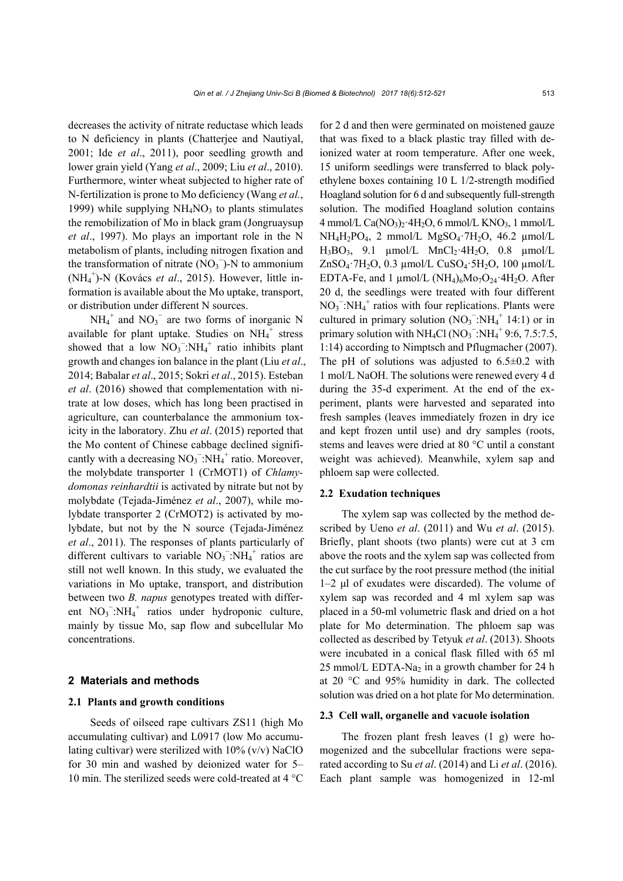decreases the activity of nitrate reductase which leads to N deficiency in plants (Chatterjee and Nautiyal, 2001; Ide *et al*., 2011), poor seedling growth and lower grain yield (Yang *et al*., 2009; Liu *et al*., 2010). Furthermore, winter wheat subjected to higher rate of N-fertilization is prone to Mo deficiency (Wang *et al.*, 1999) while supplying  $NH<sub>4</sub>NO<sub>3</sub>$  to plants stimulates the remobilization of Mo in black gram (Jongruaysup *et al*., 1997). Mo plays an important role in the N metabolism of plants, including nitrogen fixation and the transformation of nitrate  $(NO<sub>3</sub>^-)$ -N to ammonium (NH4 + )-N (Kovács *et al*., 2015). However, little information is available about the Mo uptake, transport, or distribution under different N sources.

 $NH_4^+$  and  $NO_3^-$  are two forms of inorganic N available for plant uptake. Studies on  $NH_4^+$  stress showed that a low  $NO_3^-$ : $NH_4^+$  ratio inhibits plant growth and changes ion balance in the plant (Liu *et al*., 2014; Babalar *et al*., 2015; Sokri *et al*., 2015). Esteban *et al*. (2016) showed that complementation with nitrate at low doses, which has long been practised in agriculture, can counterbalance the ammonium toxicity in the laboratory. Zhu *et al*. (2015) reported that the Mo content of Chinese cabbage declined significantly with a decreasing  $NO_3$ <sup>-</sup>:NH<sub>4</sub><sup>+</sup> ratio. Moreover, the molybdate transporter 1 (CrMOT1) of *Chlamydomonas reinhardtii* is activated by nitrate but not by molybdate (Tejada-Jiménez *et al*., 2007), while molybdate transporter 2 (CrMOT2) is activated by molybdate, but not by the N source (Tejada-Jiménez *et al*., 2011). The responses of plants particularly of different cultivars to variable  $NO<sub>3</sub><sup>-</sup>:NH<sub>4</sub><sup>+</sup>$  ratios are still not well known. In this study, we evaluated the variations in Mo uptake, transport, and distribution between two *B. napus* genotypes treated with different  $NO_3^-$ : $NH_4^+$  ratios under hydroponic culture, mainly by tissue Mo, sap flow and subcellular Mo concentrations.

#### **2 Materials and methods**

## **2.1 Plants and growth conditions**

Seeds of oilseed rape cultivars ZS11 (high Mo accumulating cultivar) and L0917 (low Mo accumulating cultivar) were sterilized with  $10\%$  (v/v) NaClO for 30 min and washed by deionized water for 5– 10 min. The sterilized seeds were cold-treated at 4 °C for 2 d and then were germinated on moistened gauze that was fixed to a black plastic tray filled with deionized water at room temperature. After one week, 15 uniform seedlings were transferred to black polyethylene boxes containing 10 L 1/2-strength modified Hoagland solution for 6 d and subsequently full-strength solution. The modified Hoagland solution contains 4 mmol/L Ca $(NO<sub>3</sub>)<sub>2</sub>$ ·4H<sub>2</sub>O, 6 mmol/L KNO<sub>3</sub>, 1 mmol/L  $NH_4H_2PO_4$ , 2 mmol/L  $MgSO_4$ ·7H<sub>2</sub>O, 46.2  $\mu$ mol/L  $H_3BO_3$ , 9.1  $\mu$ mol/L MnCl<sub>2</sub>·4H<sub>2</sub>O, 0.8  $\mu$ mol/L ZnSO4·7H2O, 0.3 µmol/L CuSO4·5H2O, 100 µmol/L EDTA-Fe, and 1  $\mu$ mol/L (NH<sub>4</sub>)<sub>6</sub>Mo<sub>7</sub>O<sub>24</sub>·4H<sub>2</sub>O. After 20 d, the seedlings were treated with four different  $NO<sub>3</sub><sup>-</sup>:NH<sub>4</sub><sup>+</sup>$  ratios with four replications. Plants were cultured in primary solution  $(NO<sub>3</sub><sup>-</sup>:NH<sub>4</sub><sup>+</sup> 14:1)$  or in primary solution with NH<sub>4</sub>Cl (NO<sub>3</sub><sup>-</sup>:NH<sub>4</sub><sup>+</sup>9:6, 7.5:7.5, 1:14) according to Nimptsch and Pflugmacher (2007). The pH of solutions was adjusted to  $6.5\pm0.2$  with 1 mol/L NaOH. The solutions were renewed every 4 d during the 35-d experiment. At the end of the experiment, plants were harvested and separated into fresh samples (leaves immediately frozen in dry ice and kept frozen until use) and dry samples (roots, stems and leaves were dried at 80 °C until a constant weight was achieved). Meanwhile, xylem sap and phloem sap were collected.

#### **2.2 Exudation techniques**

The xylem sap was collected by the method described by Ueno *et al*. (2011) and Wu *et al*. (2015). Briefly, plant shoots (two plants) were cut at 3 cm above the roots and the xylem sap was collected from the cut surface by the root pressure method (the initial 1–2 μl of exudates were discarded). The volume of xylem sap was recorded and 4 ml xylem sap was placed in a 50-ml volumetric flask and dried on a hot plate for Mo determination. The phloem sap was collected as described by Tetyuk *et al*. (2013). Shoots were incubated in a conical flask filled with 65 ml 25 mmol/L EDTA-Na<sub>2</sub> in a growth chamber for 24 h at 20 °C and 95% humidity in dark. The collected solution was dried on a hot plate for Mo determination.

#### **2.3 Cell wall, organelle and vacuole isolation**

The frozen plant fresh leaves (1 g) were homogenized and the subcellular fractions were separated according to Su *et al*. (2014) and Li *et al*. (2016). Each plant sample was homogenized in 12-ml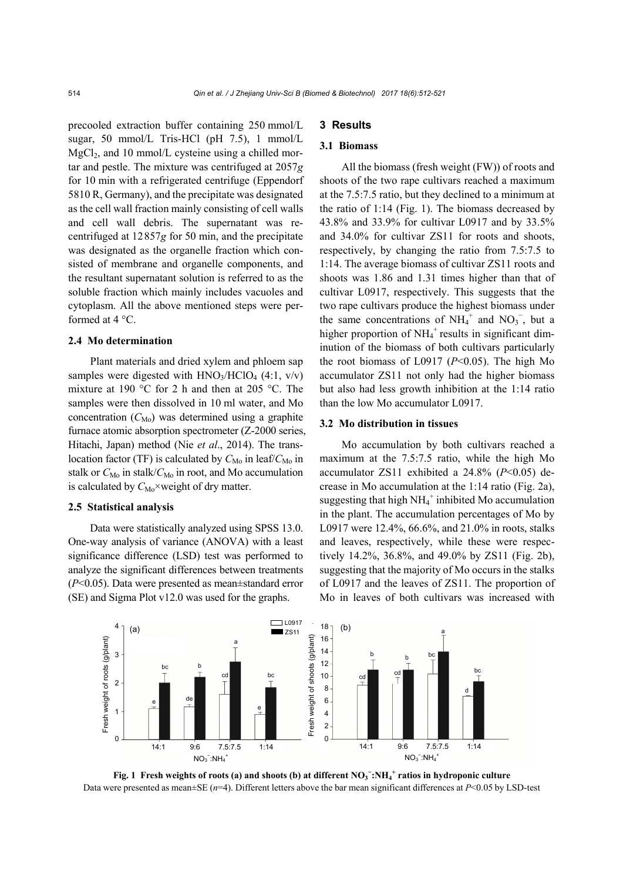precooled extraction buffer containing 250 mmol/L sugar, 50 mmol/L Tris-HCl (pH 7.5), 1 mmol/L  $MgCl<sub>2</sub>$ , and 10 mmol/L cysteine using a chilled mortar and pestle. The mixture was centrifuged at 2057*g* for 10 min with a refrigerated centrifuge (Eppendorf 5810 R, Germany), and the precipitate was designated as the cell wall fraction mainly consisting of cell walls and cell wall debris. The supernatant was recentrifuged at 12857*g* for 50 min, and the precipitate was designated as the organelle fraction which consisted of membrane and organelle components, and the resultant supernatant solution is referred to as the soluble fraction which mainly includes vacuoles and cytoplasm. All the above mentioned steps were performed at 4 °C.

# **2.4 Mo determination**

Plant materials and dried xylem and phloem sap samples were digested with  $HNO<sub>3</sub>/HClO<sub>4</sub>$  (4:1, v/v) mixture at 190 °C for 2 h and then at 205 °C. The samples were then dissolved in 10 ml water, and Mo concentration  $(C_{\text{Mo}})$  was determined using a graphite furnace atomic absorption spectrometer (Z-2000 series, Hitachi, Japan) method (Nie *et al*., 2014). The translocation factor (TF) is calculated by  $C_{\text{Mo}}$  in leaf/ $C_{\text{Mo}}$  in stalk or  $C_{\text{Mo}}$  in stalk/ $C_{\text{Mo}}$  in root, and Mo accumulation is calculated by  $C_{\text{Mo}}\times$  weight of dry matter.

#### **2.5 Statistical analysis**

Data were statistically analyzed using SPSS 13.0. One-way analysis of variance (ANOVA) with a least significance difference (LSD) test was performed to analyze the significant differences between treatments (*P*<0.05). Data were presented as mean±standard error (SE) and Sigma Plot v12.0 was used for the graphs.

# **3 Results**

#### **3.1 Biomass**

All the biomass (fresh weight (FW)) of roots and shoots of the two rape cultivars reached a maximum at the 7.5:7.5 ratio, but they declined to a minimum at the ratio of 1:14 (Fig. 1). The biomass decreased by 43.8% and 33.9% for cultivar L0917 and by 33.5% and 34.0% for cultivar ZS11 for roots and shoots, respectively, by changing the ratio from 7.5:7.5 to 1:14. The average biomass of cultivar ZS11 roots and shoots was 1.86 and 1.31 times higher than that of cultivar L0917, respectively. This suggests that the two rape cultivars produce the highest biomass under the same concentrations of  $NH_4^+$  and  $NO_3^-$ , but a higher proportion of  $NH_4^+$  results in significant diminution of the biomass of both cultivars particularly the root biomass of L0917 (*P*<0.05). The high Mo accumulator ZS11 not only had the higher biomass but also had less growth inhibition at the 1:14 ratio than the low Mo accumulator L0917.

#### **3.2 Mo distribution in tissues**

Mo accumulation by both cultivars reached a maximum at the 7.5:7.5 ratio, while the high Mo accumulator ZS11 exhibited a 24.8% (*P*<0.05) decrease in Mo accumulation at the 1:14 ratio (Fig. 2a), suggesting that high  $NH_4^+$  inhibited Mo accumulation in the plant. The accumulation percentages of Mo by L0917 were 12.4%, 66.6%, and 21.0% in roots, stalks and leaves, respectively, while these were respectively 14.2%, 36.8%, and 49.0% by ZS11 (Fig. 2b), suggesting that the majority of Mo occurs in the stalks of L0917 and the leaves of ZS11. The proportion of Mo in leaves of both cultivars was increased with



**Fig. 1** Fresh weights of roots (a) and shoots (b) at different  $NO_3^-$ :NH<sub>4</sub><sup>+</sup> ratios in hydroponic culture Data were presented as mean±SE (*n*=4). Different letters above the bar mean significant differences at *P*<0.05 by LSD-test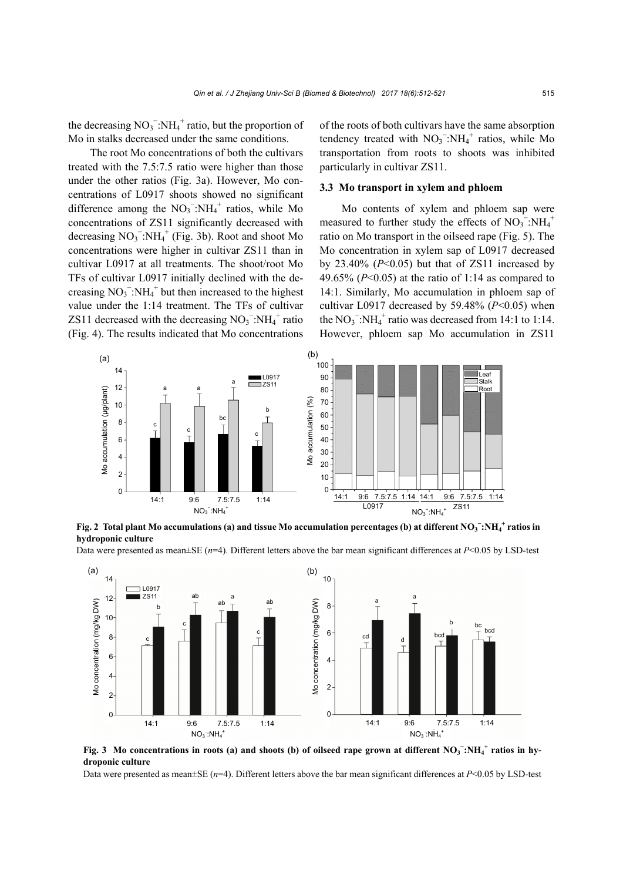the decreasing  $NO_3^-$ : $NH_4^+$  ratio, but the proportion of Mo in stalks decreased under the same conditions.

The root Mo concentrations of both the cultivars treated with the 7.5:7.5 ratio were higher than those under the other ratios (Fig. 3a). However, Mo concentrations of L0917 shoots showed no significant difference among the  $NO_3$ <sup>-</sup>:NH<sub>4</sub><sup>+</sup> ratios, while Mo concentrations of ZS11 significantly decreased with decreasing  $NO_3^-$ : $NH_4^+$  (Fig. 3b). Root and shoot Mo concentrations were higher in cultivar ZS11 than in cultivar L0917 at all treatments. The shoot/root Mo TFs of cultivar L0917 initially declined with the decreasing  $NO_3^-$ : $NH_4^+$  but then increased to the highest value under the 1:14 treatment. The TFs of cultivar ZS11 decreased with the decreasing  $NO<sub>3</sub><sup>-</sup>:NH<sub>4</sub><sup>+</sup>$  ratio (Fig. 4). The results indicated that Mo concentrations

of the roots of both cultivars have the same absorption tendency treated with  $NO_3$ <sup>-</sup>:NH<sub>4</sub><sup>+</sup> ratios, while Mo transportation from roots to shoots was inhibited particularly in cultivar ZS11.

# **3.3 Mo transport in xylem and phloem**

Mo contents of xylem and phloem sap were measured to further study the effects of  $NO_3$ <sup>-</sup>: $NH_4$ <sup>+</sup> ratio on Mo transport in the oilseed rape (Fig. 5). The Mo concentration in xylem sap of L0917 decreased by  $23.40\%$  ( $P<0.05$ ) but that of ZS11 increased by 49.65% (*P*<0.05) at the ratio of 1:14 as compared to 14:1. Similarly, Mo accumulation in phloem sap of cultivar L0917 decreased by 59.48% (*P*<0.05) when the  $NO_3$ <sup>-</sup>:NH<sub>4</sub><sup>+</sup> ratio was decreased from 14:1 to 1:14. However, phloem sap Mo accumulation in ZS11



**Fig. 2** Total plant Mo accumulations (a) and tissue Mo accumulation percentages (b) at different NO<sub>3</sub> −:NH<sub>4</sub><sup>+</sup> ratios in **hydroponic culture** 

Data were presented as mean±SE (*n*=4). Different letters above the bar mean significant differences at *P*<0.05 by LSD-test



**Fig. 3** Mo concentrations in roots (a) and shoots (b) of oilseed rape grown at different NO<sub>3</sub><sup>−</sup>:NH<sub>4</sub><sup>+</sup> ratios in hy**droponic culture** 

Data were presented as mean±SE (*n*=4). Different letters above the bar mean significant differences at *P*<0.05 by LSD-test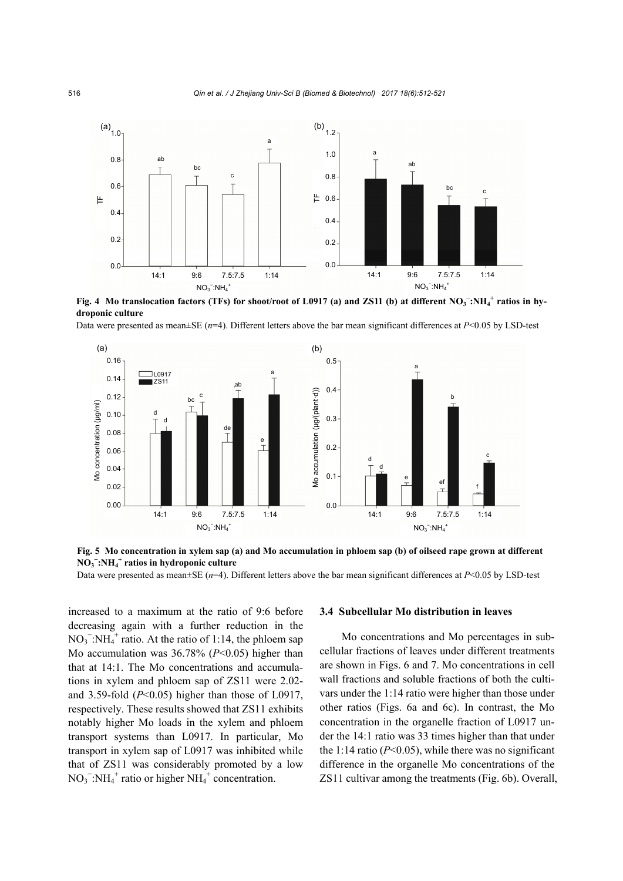

**Fig. 4** Mo translocation factors (TFs) for shoot/root of L0917 (a) and ZS11 (b) at different NO<sub>3</sub><sup>−</sup>:NH<sub>4</sub><sup>+</sup> ratios in hy**droponic culture** 

Data were presented as mean $\pm$ SE (*n*=4). Different letters above the bar mean significant differences at *P*<0.05 by LSD-test



**Fig. 5 Mo concentration in xylem sap (a) and Mo accumulation in phloem sap (b) of oilseed rape grown at different NO3 − :NH4 + ratios in hydroponic culture** 

Data were presented as mean $\pm$ SE ( $n=4$ ). Different letters above the bar mean significant differences at *P*<0.05 by LSD-test

increased to a maximum at the ratio of 9:6 before decreasing again with a further reduction in the  $NO<sub>3</sub><sup>-</sup>:NH<sub>4</sub><sup>+</sup>$  ratio. At the ratio of 1:14, the phloem sap Mo accumulation was 36.78% (*P*<0.05) higher than that at 14:1. The Mo concentrations and accumulations in xylem and phloem sap of ZS11 were 2.02 and 3.59-fold  $(P<0.05)$  higher than those of L0917, respectively. These results showed that ZS11 exhibits notably higher Mo loads in the xylem and phloem transport systems than L0917. In particular, Mo transport in xylem sap of L0917 was inhibited while that of ZS11 was considerably promoted by a low  $NO<sub>3</sub><sup>-</sup>:NH<sub>4</sub><sup>+</sup>$  ratio or higher NH<sub>4</sub><sup>+</sup> concentration.

#### **3.4 Subcellular Mo distribution in leaves**

Mo concentrations and Mo percentages in subcellular fractions of leaves under different treatments are shown in Figs. 6 and 7. Mo concentrations in cell wall fractions and soluble fractions of both the cultivars under the 1:14 ratio were higher than those under other ratios (Figs. 6a and 6c). In contrast, the Mo concentration in the organelle fraction of L0917 under the 14:1 ratio was 33 times higher than that under the 1:14 ratio  $(P<0.05)$ , while there was no significant difference in the organelle Mo concentrations of the ZS11 cultivar among the treatments (Fig. 6b). Overall,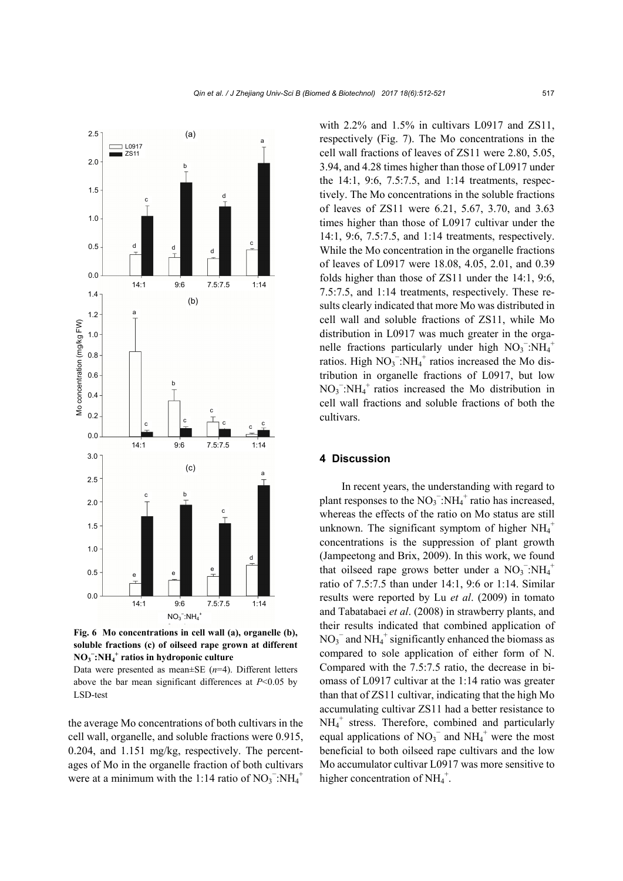

**Fig. 6 Mo concentrations in cell wall (a), organelle (b), soluble fractions (c) of oilseed rape grown at different NO3 − :NH4 + ratios in hydroponic culture** 

Data were presented as mean±SE (*n*=4). Different letters above the bar mean significant differences at *P*<0.05 by LSD-test

the average Mo concentrations of both cultivars in the cell wall, organelle, and soluble fractions were 0.915, 0.204, and 1.151 mg/kg, respectively. The percentages of Mo in the organelle fraction of both cultivars were at a minimum with the 1:14 ratio of  $NO_3$ <sup>-</sup>: $NH_4$ <sup>+</sup>

with 2.2% and 1.5% in cultivars L0917 and ZS11, respectively (Fig. 7). The Mo concentrations in the cell wall fractions of leaves of ZS11 were 2.80, 5.05, 3.94, and 4.28 times higher than those of L0917 under the 14:1, 9:6, 7.5:7.5, and 1:14 treatments, respectively. The Mo concentrations in the soluble fractions of leaves of ZS11 were 6.21, 5.67, 3.70, and 3.63 times higher than those of L0917 cultivar under the 14:1, 9:6, 7.5:7.5, and 1:14 treatments, respectively. While the Mo concentration in the organelle fractions of leaves of L0917 were 18.08, 4.05, 2.01, and 0.39 folds higher than those of ZS11 under the 14:1, 9:6, 7.5:7.5, and 1:14 treatments, respectively. These results clearly indicated that more Mo was distributed in cell wall and soluble fractions of ZS11, while Mo distribution in L0917 was much greater in the organelle fractions particularly under high  $NO_3^-$ : $NH_4^+$ ratios. High  $NO_3^-$ :NH<sub>4</sub><sup>+</sup> ratios increased the Mo distribution in organelle fractions of L0917, but low  $NO<sub>3</sub><sup>-</sup>:NH<sub>4</sub><sup>+</sup>$  ratios increased the Mo distribution in cell wall fractions and soluble fractions of both the cultivars.

# **4 Discussion**

In recent years, the understanding with regard to plant responses to the  $NO_3^-$ : $NH_4^+$  ratio has increased, whereas the effects of the ratio on Mo status are still unknown. The significant symptom of higher  $NH_4^+$ concentrations is the suppression of plant growth (Jampeetong and Brix, 2009). In this work, we found that oilseed rape grows better under a  $NO_3$ <sup>-</sup>: $NH_4$ <sup>+</sup> ratio of 7.5:7.5 than under 14:1, 9:6 or 1:14. Similar results were reported by Lu *et al*. (2009) in tomato and Tabatabaei *et al*. (2008) in strawberry plants, and their results indicated that combined application of  $NO<sub>3</sub><sup>-</sup>$  and NH<sub>4</sub><sup>+</sup> significantly enhanced the biomass as compared to sole application of either form of N. Compared with the 7.5:7.5 ratio, the decrease in biomass of L0917 cultivar at the 1:14 ratio was greater than that of ZS11 cultivar, indicating that the high Mo accumulating cultivar ZS11 had a better resistance to NH<sub>4</sub><sup>+</sup> stress. Therefore, combined and particularly equal applications of  $NO_3$ <sup>-</sup> and  $NH_4$ <sup>+</sup> were the most beneficial to both oilseed rape cultivars and the low Mo accumulator cultivar L0917 was more sensitive to higher concentration of  $NH_4^+$ .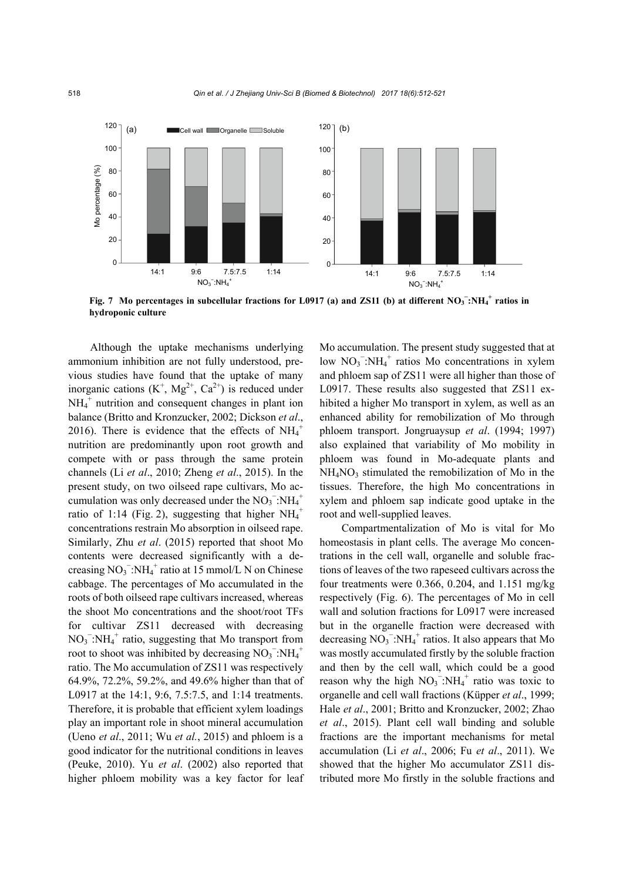

**Fig. 7** Mo percentages in subcellular fractions for L0917 (a) and ZS11 (b) at different  $NO_3^-$ : $NH_4^+$  ratios in **hydroponic culture** 

Although the uptake mechanisms underlying ammonium inhibition are not fully understood, previous studies have found that the uptake of many inorganic cations  $(K^+, Mg^{2+}, Ca^{2+})$  is reduced under  $NH_4^+$  nutrition and consequent changes in plant ion balance (Britto and Kronzucker, 2002; Dickson *et al*., 2016). There is evidence that the effects of  $NH_4^+$ nutrition are predominantly upon root growth and compete with or pass through the same protein channels (Li *et al*., 2010; Zheng *et al*., 2015). In the present study, on two oilseed rape cultivars, Mo accumulation was only decreased under the  $NO_3$ <sup>-</sup>: $NH_4$ <sup>+</sup> ratio of 1:14 (Fig. 2), suggesting that higher  $NH_4^+$ concentrations restrain Mo absorption in oilseed rape. Similarly, Zhu *et al*. (2015) reported that shoot Mo contents were decreased significantly with a decreasing  $NO_3^-$ : $NH_4^+$  ratio at 15 mmol/L N on Chinese cabbage. The percentages of Mo accumulated in the roots of both oilseed rape cultivars increased, whereas the shoot Mo concentrations and the shoot/root TFs for cultivar ZS11 decreased with decreasing  $NO<sub>3</sub><sup>-</sup>:NH<sub>4</sub><sup>+</sup>$  ratio, suggesting that Mo transport from root to shoot was inhibited by decreasing  $NO_3$ <sup>-</sup>: $NH_4$ <sup>+</sup> ratio. The Mo accumulation of ZS11 was respectively 64.9%, 72.2%, 59.2%, and 49.6% higher than that of L0917 at the 14:1, 9:6, 7.5:7.5, and 1:14 treatments. Therefore, it is probable that efficient xylem loadings play an important role in shoot mineral accumulation (Ueno *et al*., 2011; Wu *et al.*, 2015) and phloem is a good indicator for the nutritional conditions in leaves (Peuke, 2010). Yu *et al*. (2002) also reported that higher phloem mobility was a key factor for leaf

Mo accumulation. The present study suggested that at low  $NO_3^-$ : $NH_4^+$  ratios Mo concentrations in xylem and phloem sap of ZS11 were all higher than those of L0917. These results also suggested that ZS11 exhibited a higher Mo transport in xylem, as well as an enhanced ability for remobilization of Mo through phloem transport. Jongruaysup *et al*. (1994; 1997) also explained that variability of Mo mobility in phloem was found in Mo-adequate plants and  $NH<sub>4</sub>NO<sub>3</sub>$  stimulated the remobilization of Mo in the tissues. Therefore, the high Mo concentrations in xylem and phloem sap indicate good uptake in the root and well-supplied leaves.

Compartmentalization of Mo is vital for Mo homeostasis in plant cells. The average Mo concentrations in the cell wall, organelle and soluble fractions of leaves of the two rapeseed cultivars across the four treatments were 0.366, 0.204, and 1.151 mg/kg respectively (Fig. 6). The percentages of Mo in cell wall and solution fractions for L0917 were increased but in the organelle fraction were decreased with decreasing  $NO_3^-$ : $NH_4^+$  ratios. It also appears that Mo was mostly accumulated firstly by the soluble fraction and then by the cell wall, which could be a good reason why the high  $NO_3^-$ : $NH_4^+$  ratio was toxic to organelle and cell wall fractions (Küpper *et al*., 1999; Hale *et al*., 2001; Britto and Kronzucker, 2002; Zhao *et al*., 2015). Plant cell wall binding and soluble fractions are the important mechanisms for metal accumulation (Li *et al*., 2006; Fu *et al*., 2011). We showed that the higher Mo accumulator ZS11 distributed more Mo firstly in the soluble fractions and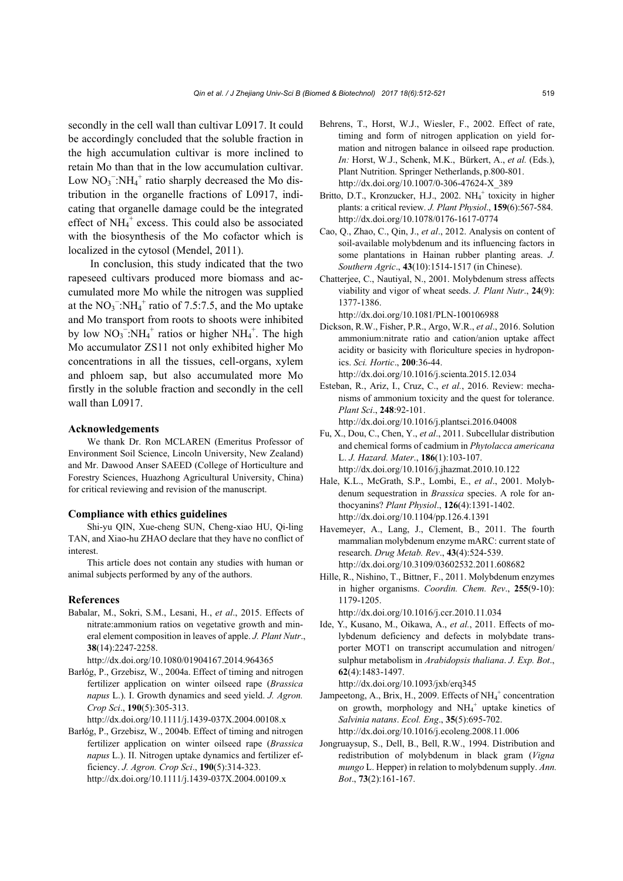secondly in the cell wall than cultivar L0917. It could be accordingly concluded that the soluble fraction in the high accumulation cultivar is more inclined to retain Mo than that in the low accumulation cultivar. Low  $NO_3$ <sup>-</sup>:NH<sub>4</sub><sup>+</sup> ratio sharply decreased the Mo distribution in the organelle fractions of L0917, indicating that organelle damage could be the integrated effect of NH<sub>4</sub><sup>+</sup> excess. This could also be associated with the biosynthesis of the Mo cofactor which is localized in the cytosol (Mendel, 2011).

In conclusion, this study indicated that the two rapeseed cultivars produced more biomass and accumulated more Mo while the nitrogen was supplied at the  $NO_3$ <sup>-</sup>:NH<sub>4</sub><sup>+</sup> ratio of 7.5:7.5, and the Mo uptake and Mo transport from roots to shoots were inhibited by low  $NO_3^-$ : $NH_4^+$  ratios or higher  $NH_4^+$ . The high Mo accumulator ZS11 not only exhibited higher Mo concentrations in all the tissues, cell-organs, xylem and phloem sap, but also accumulated more Mo firstly in the soluble fraction and secondly in the cell wall than L0917.

#### **Acknowledgements**

We thank Dr. Ron MCLAREN (Emeritus Professor of Environment Soil Science, Lincoln University, New Zealand) and Mr. Dawood Anser SAEED (College of Horticulture and Forestry Sciences, Huazhong Agricultural University, China) for critical reviewing and revision of the manuscript.

#### **Compliance with ethics guidelines**

Shi-yu QIN, Xue-cheng SUN, Cheng-xiao HU, Qi-ling TAN, and Xiao-hu ZHAO declare that they have no conflict of interest.

This article does not contain any studies with human or animal subjects performed by any of the authors.

# **References**

Babalar, M., Sokri, S.M., Lesani, H., *et al*., 2015. Effects of nitrate:ammonium ratios on vegetative growth and mineral element composition in leaves of apple. *J. Plant Nutr*., **38**(14):2247-2258.

http://dx.doi.org/10.1080/01904167.2014.964365

Barłóg, P., Grzebisz, W., 2004a. Effect of timing and nitrogen fertilizer application on winter oilseed rape (*Brassica napus* L.). I. Growth dynamics and seed yield. *J. Agron. Crop Sci*., **190**(5):305-313.

http://dx.doi.org/10.1111/j.1439-037X.2004.00108.x

Barłóg, P., Grzebisz, W., 2004b. Effect of timing and nitrogen fertilizer application on winter oilseed rape (*Brassica napus* L.). II. Nitrogen uptake dynamics and fertilizer efficiency. *J. Agron. Crop Sci*., **190**(5):314-323. http://dx.doi.org/10.1111/j.1439-037X.2004.00109.x

- Behrens, T., Horst, W.J., Wiesler, F., 2002. Effect of rate, timing and form of nitrogen application on yield formation and nitrogen balance in oilseed rape production. *In:* Horst, W.J., Schenk, M.K., Bürkert, A., *et al.* (Eds.), Plant Nutrition. Springer Netherlands, p.800-801. http://dx.doi.org/10.1007/0-306-47624-X\_389
- Britto, D.T., Kronzucker, H.J., 2002. NH<sub>4</sub><sup>+</sup> toxicity in higher plants: a critical review. *J. Plant Physiol*., **159**(6):567-584. http://dx.doi.org/10.1078/0176-1617-0774
- Cao, Q., Zhao, C., Qin, J., *et al*., 2012. Analysis on content of soil-available molybdenum and its influencing factors in some plantations in Hainan rubber planting areas. *J. Southern Agric*., **43**(10):1514-1517 (in Chinese).
- Chatterjee, C., Nautiyal, N., 2001. Molybdenum stress affects viability and vigor of wheat seeds. *J. Plant Nutr*., **24**(9): 1377-1386.

http://dx.doi.org/10.1081/PLN-100106988

- Dickson, R.W., Fisher, P.R., Argo, W.R., *et al*., 2016. Solution ammonium:nitrate ratio and cation/anion uptake affect acidity or basicity with floriculture species in hydroponics. *Sci. Hortic*., **200**:36-44. http://dx.doi.org/10.1016/j.scienta.2015.12.034
- Esteban, R., Ariz, I., Cruz, C., *et al.*, 2016. Review: mechanisms of ammonium toxicity and the quest for tolerance. *Plant Sci*., **248**:92-101. http://dx.doi.org/10.1016/j.plantsci.2016.04008

Fu, X., Dou, C., Chen, Y., *et al*., 2011. Subcellular distribution and chemical forms of cadmium in *Phytolacca americana* L. *J. Hazard. Mater*., **186**(1):103-107. http://dx.doi.org/10.1016/j.jhazmat.2010.10.122

- Hale, K.L., McGrath, S.P., Lombi, E., *et al*., 2001. Molybdenum sequestration in *Brassica* species. A role for anthocyanins? *Plant Physiol*., **126**(4):1391-1402. http://dx.doi.org/10.1104/pp.126.4.1391
- Havemeyer, A., Lang, J., Clement, B., 2011. The fourth mammalian molybdenum enzyme mARC: current state of research. *Drug Metab. Rev*., **43**(4):524-539. http://dx.doi.org/10.3109/03602532.2011.608682
- Hille, R., Nishino, T., Bittner, F., 2011. Molybdenum enzymes in higher organisms. *Coordin. Chem. Rev*., **255**(9-10): 1179-1205.

http://dx.doi.org/10.1016/j.ccr.2010.11.034

Ide, Y., Kusano, M., Oikawa, A., *et al.*, 2011. Effects of molybdenum deficiency and defects in molybdate transporter MOT1 on transcript accumulation and nitrogen/ sulphur metabolism in *Arabidopsis thaliana*. *J. Exp. Bot*., **62**(4):1483-1497.

http://dx.doi.org/10.1093/jxb/erq345

- Jampeetong, A., Brix, H., 2009. Effects of NH<sub>4</sub><sup>+</sup> concentration on growth, morphology and  $NH_4^+$  uptake kinetics of *Salvinia natans*. *Ecol. Eng*., **35**(5):695-702. http://dx.doi.org/10.1016/j.ecoleng.2008.11.006
- Jongruaysup, S., Dell, B., Bell, R.W., 1994. Distribution and redistribution of molybdenum in black gram (*Vigna mungo* L. Hepper) in relation to molybdenum supply. *Ann. Bot*., **73**(2):161-167.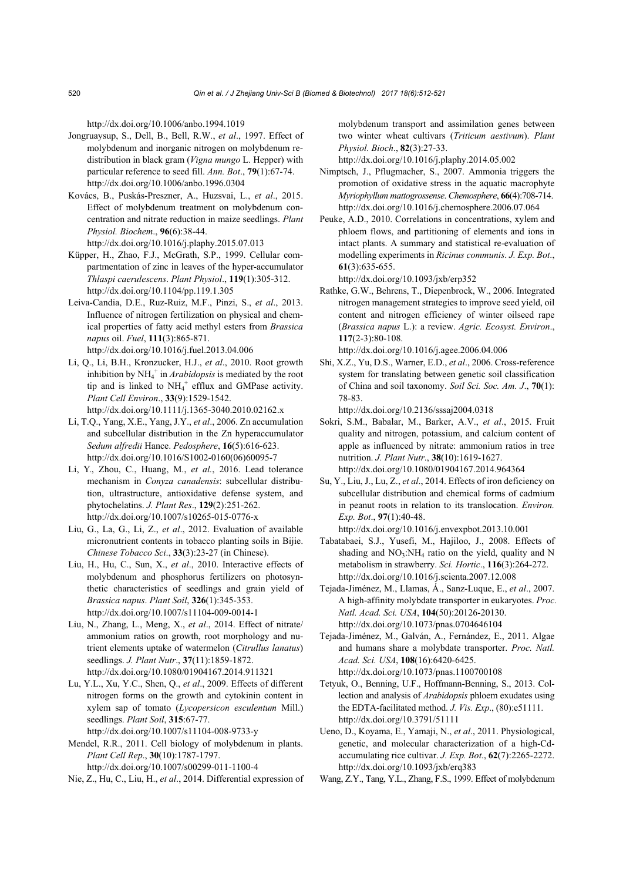http://dx.doi.org/10.1006/anbo.1994.1019

- Jongruaysup, S., Dell, B., Bell, R.W., *et al*., 1997. Effect of molybdenum and inorganic nitrogen on molybdenum redistribution in black gram (*Vigna mungo* L. Hepper) with particular reference to seed fill. *Ann. Bot*., **79**(1):67-74. http://dx.doi.org/10.1006/anbo.1996.0304
- Kovács, B., Puskás-Preszner, A., Huzsvai, L., *et al*., 2015. Effect of molybdenum treatment on molybdenum concentration and nitrate reduction in maize seedlings. *Plant Physiol. Biochem*., **96**(6):38-44. http://dx.doi.org/10.1016/j.plaphy.2015.07.013
- Küpper, H., Zhao, F.J., McGrath, S.P., 1999. Cellular compartmentation of zinc in leaves of the hyper-accumulator *Thlaspi caerulescens*. *Plant Physiol*., **119**(1):305-312. http://dx.doi.org/10.1104/pp.119.1.305
- Leiva-Candia, D.E., Ruz-Ruiz, M.F., Pinzi, S., *et al*., 2013. Influence of nitrogen fertilization on physical and chemical properties of fatty acid methyl esters from *Brassica napus* oil. *Fuel*, **111**(3):865-871. http://dx.doi.org/10.1016/j.fuel.2013.04.006
- Li, Q., Li, B.H., Kronzucker, H.J., *et al*., 2010. Root growth inhibition by NH<sub>4</sub><sup>+</sup> in *Arabidopsis* is mediated by the root tip and is linked to  $NH_4^+$  efflux and GMPase activity. *Plant Cell Environ*., **33**(9):1529-1542. http://dx.doi.org/10.1111/j.1365-3040.2010.02162.x
- Li, T.Q., Yang, X.E., Yang, J.Y., *et al*., 2006. Zn accumulation and subcellular distribution in the Zn hyperaccumulator *Sedum alfredii* Hance. *Pedosphere*, **16**(5):616-623. http://dx.doi.org/10.1016/S1002-0160(06)60095-7
- Li, Y., Zhou, C., Huang, M., *et al.*, 2016. Lead tolerance mechanism in *Conyza canadensis*: subcellular distribution, ultrastructure, antioxidative defense system, and phytochelatins. *J. Plant Res*., **129**(2):251-262. http://dx.doi.org/10.1007/s10265-015-0776-x
- Liu, G., La, G., Li, Z., *et al*., 2012. Evaluation of available micronutrient contents in tobacco planting soils in Bijie. *Chinese Tobacco Sci*., **33**(3):23-27 (in Chinese).
- Liu, H., Hu, C., Sun, X., *et al*., 2010. Interactive effects of molybdenum and phosphorus fertilizers on photosynthetic characteristics of seedlings and grain yield of *Brassica napus*. *Plant Soil*, **326**(1):345-353. http://dx.doi.org/10.1007/s11104-009-0014-1
- Liu, N., Zhang, L., Meng, X., *et al*., 2014. Effect of nitrate/ ammonium ratios on growth, root morphology and nutrient elements uptake of watermelon (*Citrullus lanatus*) seedlings. *J. Plant Nutr*., **37**(11):1859-1872. http://dx.doi.org/10.1080/01904167.2014.911321
- Lu, Y.L., Xu, Y.C., Shen, Q., *et al*., 2009. Effects of different nitrogen forms on the growth and cytokinin content in xylem sap of tomato (*Lycopersicon esculentum* Mill.) seedlings. *Plant Soil*, **315**:67-77. http://dx.doi.org/10.1007/s11104-008-9733-y

Mendel, R.R., 2011. Cell biology of molybdenum in plants. *Plant Cell Rep*., **30**(10):1787-1797. http://dx.doi.org/10.1007/s00299-011-1100-4

Nie, Z., Hu, C., Liu, H., *et al*., 2014. Differential expression of

molybdenum transport and assimilation genes between two winter wheat cultivars (*Triticum aestivum*). *Plant Physiol. Bioch*., **82**(3):27-33.

http://dx.doi.org/10.1016/j.plaphy.2014.05.002

- Nimptsch, J., Pflugmacher, S., 2007. Ammonia triggers the promotion of oxidative stress in the aquatic macrophyte *Myriophyllum mattogrossense*. *Chemosphere*, **66**(4):708-714. http://dx.doi.org/10.1016/j.chemosphere.2006.07.064
- Peuke, A.D., 2010. Correlations in concentrations, xylem and phloem flows, and partitioning of elements and ions in intact plants. A summary and statistical re-evaluation of modelling experiments in *Ricinus communis*. *J. Exp. Bot*., **61**(3):635-655.

http://dx.doi.org/10.1093/jxb/erp352

Rathke, G.W., Behrens, T., Diepenbrock, W., 2006. Integrated nitrogen management strategies to improve seed yield, oil content and nitrogen efficiency of winter oilseed rape (*Brassica napus* L.): a review. *Agric. Ecosyst. Environ*., **117**(2-3):80-108.

http://dx.doi.org/10.1016/j.agee.2006.04.006

Shi, X.Z., Yu, D.S., Warner, E.D., *et al*., 2006. Cross-reference system for translating between genetic soil classification of China and soil taxonomy. *Soil Sci. Soc. Am. J*., **70**(1): 78-83.

http://dx.doi.org/10.2136/sssaj2004.0318

- Sokri, S.M., Babalar, M., Barker, A.V., *et al*., 2015. Fruit quality and nitrogen, potassium, and calcium content of apple as influenced by nitrate: ammonium ratios in tree nutrition. *J. Plant Nutr*., **38**(10):1619-1627. http://dx.doi.org/10.1080/01904167.2014.964364
- Su, Y., Liu, J., Lu, Z., *et al*., 2014. Effects of iron deficiency on subcellular distribution and chemical forms of cadmium in peanut roots in relation to its translocation. *Environ. Exp. Bot*., **97**(1):40-48.
- http://dx.doi.org/10.1016/j.envexpbot.2013.10.001 Tabatabaei, S.J., Yusefi, M., Hajiloo, J., 2008. Effects of shading and  $NO<sub>3</sub>:NH<sub>4</sub>$  ratio on the yield, quality and N
- metabolism in strawberry. *Sci. Hortic*., **116**(3):264-272. http://dx.doi.org/10.1016/j.scienta.2007.12.008 Tejada-Jiménez, M., Llamas, Á., Sanz-Luque, E., *et al*., 2007.
- A high-affinity molybdate transporter in eukaryotes. *Proc. Natl. Acad. Sci. USA*, **104**(50):20126-20130. http://dx.doi.org/10.1073/pnas.0704646104
- Tejada-Jiménez, M., Galván, A., Fernández, E., 2011. Algae and humans share a molybdate transporter. *Proc. Natl. Acad. Sci. USA*, **108**(16):6420-6425. http://dx.doi.org/10.1073/pnas.1100700108
- Tetyuk, O., Benning, U.F., Hoffmann-Benning, S., 2013. Collection and analysis of *Arabidopsis* phloem exudates using the EDTA-facilitated method. *J. Vis. Exp*., (80):e51111. http://dx.doi.org/10.3791/51111
- Ueno, D., Koyama, E., Yamaji, N., *et al*., 2011. Physiological, genetic, and molecular characterization of a high-Cdaccumulating rice cultivar. *J. Exp. Bot*., **62**(7):2265-2272. http://dx.doi.org/10.1093/jxb/erq383
- Wang, Z.Y., Tang, Y.L., Zhang, F.S., 1999. Effect of molybdenum